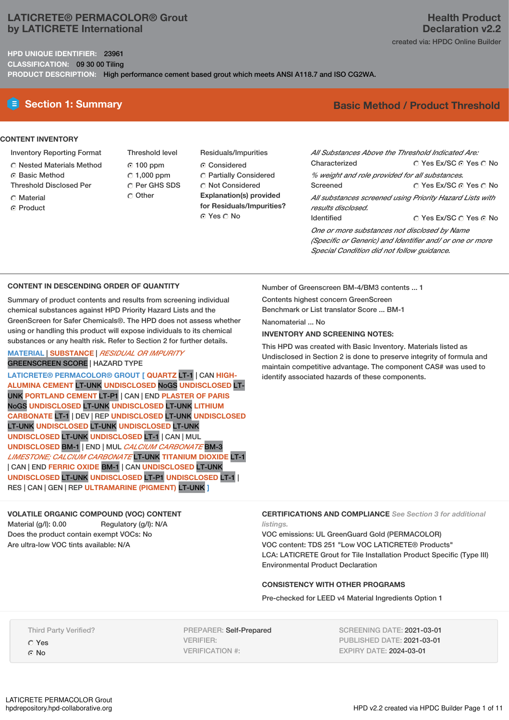## **LATICRETE® PERMACOLOR® Grout by LATICRETE International**

**HPD UNIQUE IDENTIFIER:** 23961 **CLASSIFICATION:** 09 30 00 Tiling

**PRODUCT DESCRIPTION:** High performance cement based grout which meets ANSI A118.7 and ISO CG2WA.

# **CONTENT INVENTORY**

- Inventory Reporting Format
- Nested Materials Method
- Basic Method
- Threshold Disclosed Per
- C Material
- **G** Product
- Threshold level 100 ppm  $\degree$  1.000 ppm Per GHS SDS  $\cap$  Other
- Residuals/Impurities Considered Partially Considered Not Considered **Explanation(s) provided for Residuals/Impurities?** © Yes ∩ No

## **Health Product Declaration v2.2** created via: HPDC Online Builder

# **E** Section 1: Summary **Basic Method / Product Threshold**

| All Substances Above the Threshold Indicated Are:        |                        |  |  |  |  |  |
|----------------------------------------------------------|------------------------|--|--|--|--|--|
| Characterized                                            | ∩ Yes Ex/SC ⊙ Yes ∩ No |  |  |  |  |  |
| % weight and role provided for all substances.           |                        |  |  |  |  |  |
| Screened                                                 | ○ Yes Ex/SC ⊙ Yes ○ No |  |  |  |  |  |
| All substances screened using Priority Hazard Lists with |                        |  |  |  |  |  |
| results disclosed.                                       |                        |  |  |  |  |  |
| <b>Identified</b>                                        | ∩ Yes Ex/SC ∩ Yes ∩ No |  |  |  |  |  |
| One or more substances not disclosed by Name             |                        |  |  |  |  |  |
| (Specific or Generic) and Identifier and/ or one or more |                        |  |  |  |  |  |
| Special Condition did not follow quidance.               |                        |  |  |  |  |  |

#### **CONTENT IN DESCENDING ORDER OF QUANTITY**

Summary of product contents and results from screening individual chemical substances against HPD Priority Hazard Lists and the GreenScreen for Safer Chemicals®. The HPD does not assess whether using or handling this product will expose individuals to its chemical substances or any health risk. Refer to Section 2 for further details.

### **MATERIAL** | **SUBSTANCE** | *RESIDUAL OR IMPURITY* GREENSCREEN SCORE | HAZARD TYPE

**LATICRETE® PERMACOLOR® GROUT [ QUARTZ** LT-1 | CAN **HIGH-ALUMINA CEMENT** LT-UNK **UNDISCLOSED** NoGS **UNDISCLOSED** LT-UNK **PORTLAND CEMENT** LT-P1 | CAN | END **PLASTER OF PARIS** NoGS **UNDISCLOSED** LT-UNK **UNDISCLOSED** LT-UNK **LITHIUM CARBONATE** LT-1 | DEV | REP **UNDISCLOSED** LT-UNK **UNDISCLOSED** LT-UNK **UNDISCLOSED** LT-UNK **UNDISCLOSED** LT-UNK **UNDISCLOSED** LT-UNK **UNDISCLOSED** LT-1 | CAN | MUL **UNDISCLOSED** BM-1 | END | MUL *CALCIUM CARBONATE* BM-3 *LIMESTONE; CALCIUM CARBONATE* LT-UNK **TITANIUM DIOXIDE** LT-1 | CAN | END **FERRIC OXIDE** BM-1 | CAN **UNDISCLOSED** LT-UNK **UNDISCLOSED** LT-UNK **UNDISCLOSED** LT-P1 **UNDISCLOSED** LT-1 | RES | CAN | GEN | REP **ULTRAMARINE (PIGMENT)** LT-UNK **]**

#### **VOLATILE ORGANIC COMPOUND (VOC) CONTENT**

Material (g/l): 0.00 Regulatory (g/l): N/A Does the product contain exempt VOCs: No Are ultra-low VOC tints available: N/A

Number of Greenscreen BM-4/BM3 contents ... 1

Contents highest concern GreenScreen Benchmark or List translator Score ... BM-1

Nanomaterial ... No

#### **INVENTORY AND SCREENING NOTES:**

This HPD was created with Basic Inventory. Materials listed as Undisclosed in Section 2 is done to preserve integrity of formula and maintain competitive advantage. The component CAS# was used to identify associated hazards of these components.

#### **CERTIFICATIONS AND COMPLIANCE** *See Section 3 for additional listings.*

VOC emissions: UL GreenGuard Gold (PERMACOLOR) VOC content: TDS 251 "Low VOC LATICRETE® Products" LCA: LATICRETE Grout for Tile Installation Product Specific (Type III) Environmental Product Declaration

### **CONSISTENCY WITH OTHER PROGRAMS**

Pre-checked for LEED v4 Material Ingredients Option 1

Third Party Verified?

Yes  $\Omega$  No

PREPARER: Self-Prepared VERIFIER: VERIFICATION #:

SCREENING DATE: 2021-03-01 PUBLISHED DATE: 2021-03-01 EXPIRY DATE: 2024-03-01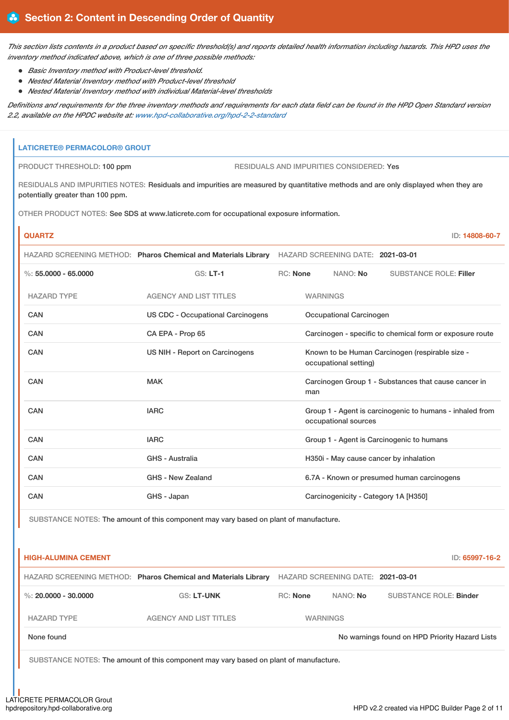This section lists contents in a product based on specific threshold(s) and reports detailed health information including hazards. This HPD uses the *inventory method indicated above, which is one of three possible methods:*

- *Basic Inventory method with Product-level threshold.*
- *Nested Material Inventory method with Product-level threshold*
- *Nested Material Inventory method with individual Material-level thresholds*

Definitions and requirements for the three inventory methods and requirements for each data field can be found in the HPD Open Standard version *2.2, available on the HPDC website at: [www.hpd-collaborative.org/hpd-2-2-standard](https://www.hpd-collaborative.org/hpd-2-2-standard)*

# **LATICRETE® PERMACOLOR® GROUT** PRODUCT THRESHOLD: 100 ppm RESIDUALS AND IMPURITIES CONSIDERED: Yes RESIDUALS AND IMPURITIES NOTES: Residuals and impurities are measured by quantitative methods and are only displayed when they are potentially greater than 100 ppm. OTHER PRODUCT NOTES: See SDS at www.laticrete.com for occupational exposure information. **QUARTZ** ID: **14808-60-7** HAZARD SCREENING METHOD: **Pharos Chemical and Materials Library** HAZARD SCREENING DATE: **2021-03-01** %: **55.0000 - 65.0000** GS: **LT-1** RC: **None** NANO: **No** SUBSTANCE ROLE: **Filler** HAZARD TYPE AGENCY AND LIST TITLES WARNINGS CAN US CDC - Occupational Carcinogens Occupational Carcinogen CAN CA EPA - Prop 65 Carcinogen - specific to chemical form or exposure route CAN US NIH - Report on Carcinogens Known to be Human Carcinogen (respirable size occupational setting) CAN CAN MAK MAC Carcinogen Group 1 - Substances that cause cancer in man CAN GROUP 1 - Agent is carcinogenic to humans - inhaled from occupational sources CAN CAN IARC IARC CAN Group 1 - Agent is Carcinogenic to humans CAN GHS - Australia H350i - May cause cancer by inhalation CAN GHS - New Zealand 6.7A - Known or presumed human carcinogens CAN GHS - Japan GHS - Japan Carcinogenicity - Category 1A [H350]

SUBSTANCE NOTES: The amount of this component may vary based on plant of manufacture.

| <b>HIGH-ALUMINA CEMENT</b> |                                                                |                 |                                   | ID: 65997-16-2                                 |
|----------------------------|----------------------------------------------------------------|-----------------|-----------------------------------|------------------------------------------------|
|                            | HAZARD SCREENING METHOD: Pharos Chemical and Materials Library |                 | HAZARD SCREENING DATE: 2021-03-01 |                                                |
| %: 20,0000 - 30,0000       | <b>GS: LT-UNK</b>                                              | <b>RC:</b> None | NANO: No                          | <b>SUBSTANCE ROLE: Binder</b>                  |
| <b>HAZARD TYPE</b>         | <b>AGENCY AND LIST TITLES</b>                                  |                 | <b>WARNINGS</b>                   |                                                |
| None found                 |                                                                |                 |                                   | No warnings found on HPD Priority Hazard Lists |
|                            |                                                                |                 |                                   |                                                |

SUBSTANCE NOTES: The amount of this component may vary based on plant of manufacture.

LATICRETE PERMACOLOR Grout<br>hpdrepository.hpd-collaborative.org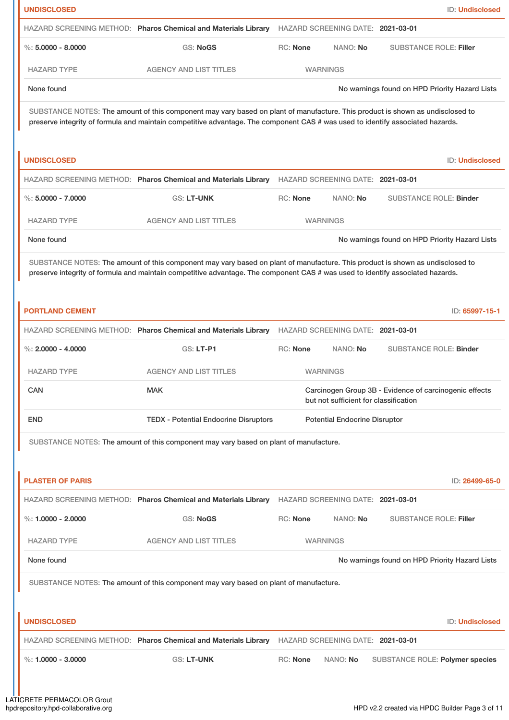| <b>UNDISCLOSED</b>      |                                                                                                                                                                                                                                                                 |                 |                                       | <b>ID: Undisclosed</b>                                 |
|-------------------------|-----------------------------------------------------------------------------------------------------------------------------------------------------------------------------------------------------------------------------------------------------------------|-----------------|---------------------------------------|--------------------------------------------------------|
|                         | HAZARD SCREENING METHOD: Pharos Chemical and Materials Library                                                                                                                                                                                                  |                 | HAZARD SCREENING DATE: 2021-03-01     |                                                        |
| %: $5.0000 - 8.0000$    | <b>GS: NoGS</b>                                                                                                                                                                                                                                                 | RC: None        | NANO: No                              | <b>SUBSTANCE ROLE: Filler</b>                          |
| <b>HAZARD TYPE</b>      | <b>AGENCY AND LIST TITLES</b>                                                                                                                                                                                                                                   |                 | <b>WARNINGS</b>                       |                                                        |
| None found              |                                                                                                                                                                                                                                                                 |                 |                                       | No warnings found on HPD Priority Hazard Lists         |
|                         | SUBSTANCE NOTES: The amount of this component may vary based on plant of manufacture. This product is shown as undisclosed to<br>preserve integrity of formula and maintain competitive advantage. The component CAS # was used to identify associated hazards. |                 |                                       |                                                        |
| <b>UNDISCLOSED</b>      |                                                                                                                                                                                                                                                                 |                 |                                       | <b>ID: Undisclosed</b>                                 |
|                         | HAZARD SCREENING METHOD: Pharos Chemical and Materials Library                                                                                                                                                                                                  |                 | HAZARD SCREENING DATE: 2021-03-01     |                                                        |
| $\%$ : 5,0000 - 7,0000  | GS: LT-UNK                                                                                                                                                                                                                                                      | <b>RC: None</b> | NANO: No                              | <b>SUBSTANCE ROLE: Binder</b>                          |
| <b>HAZARD TYPE</b>      | <b>AGENCY AND LIST TITLES</b>                                                                                                                                                                                                                                   |                 | <b>WARNINGS</b>                       |                                                        |
| None found              |                                                                                                                                                                                                                                                                 |                 |                                       | No warnings found on HPD Priority Hazard Lists         |
|                         | SUBSTANCE NOTES: The amount of this component may vary based on plant of manufacture. This product is shown as undisclosed to<br>preserve integrity of formula and maintain competitive advantage. The component CAS # was used to identify associated hazards. |                 |                                       |                                                        |
| <b>PORTLAND CEMENT</b>  |                                                                                                                                                                                                                                                                 |                 |                                       | ID: 65997-15-1                                         |
|                         | HAZARD SCREENING METHOD: Pharos Chemical and Materials Library                                                                                                                                                                                                  |                 | HAZARD SCREENING DATE: 2021-03-01     |                                                        |
| %: $2,0000 - 4,0000$    | <b>GS: LT-P1</b>                                                                                                                                                                                                                                                | <b>RC: None</b> | NANO: No                              | <b>SUBSTANCE ROLE: Binder</b>                          |
| <b>HAZARD TYPE</b>      | <b>AGENCY AND LIST TITLES</b>                                                                                                                                                                                                                                   |                 | <b>WARNINGS</b>                       |                                                        |
| CAN                     | <b>MAK</b>                                                                                                                                                                                                                                                      |                 | but not sufficient for classification | Carcinogen Group 3B - Evidence of carcinogenic effects |
| <b>END</b>              | <b>TEDX - Potential Endocrine Disruptors</b>                                                                                                                                                                                                                    |                 | <b>Potential Endocrine Disruptor</b>  |                                                        |
|                         | SUBSTANCE NOTES: The amount of this component may vary based on plant of manufacture.                                                                                                                                                                           |                 |                                       |                                                        |
| <b>PLASTER OF PARIS</b> |                                                                                                                                                                                                                                                                 |                 |                                       | ID: 26499-65-0                                         |
|                         | HAZARD SCREENING METHOD: Pharos Chemical and Materials Library HAZARD SCREENING DATE: 2021-03-01                                                                                                                                                                |                 |                                       |                                                        |
| %: $1.0000 - 2.0000$    | <b>GS: NoGS</b>                                                                                                                                                                                                                                                 | <b>RC: None</b> | NANO: No                              | <b>SUBSTANCE ROLE: Filler</b>                          |
| <b>HAZARD TYPE</b>      | <b>AGENCY AND LIST TITLES</b>                                                                                                                                                                                                                                   |                 | <b>WARNINGS</b>                       |                                                        |
| None found              |                                                                                                                                                                                                                                                                 |                 |                                       | No warnings found on HPD Priority Hazard Lists         |
|                         | SUBSTANCE NOTES: The amount of this component may vary based on plant of manufacture.                                                                                                                                                                           |                 |                                       |                                                        |
| <b>UNDISCLOSED</b>      |                                                                                                                                                                                                                                                                 |                 |                                       | ID: Undisclosed                                        |
|                         | HAZARD SCREENING METHOD: Pharos Chemical and Materials Library HAZARD SCREENING DATE: 2021-03-01                                                                                                                                                                |                 |                                       |                                                        |
| %: $1,0000 - 3,0000$    | <b>GS: LT-UNK</b>                                                                                                                                                                                                                                               | RC: None        | NANO: No                              | SUBSTANCE ROLE: Polymer species                        |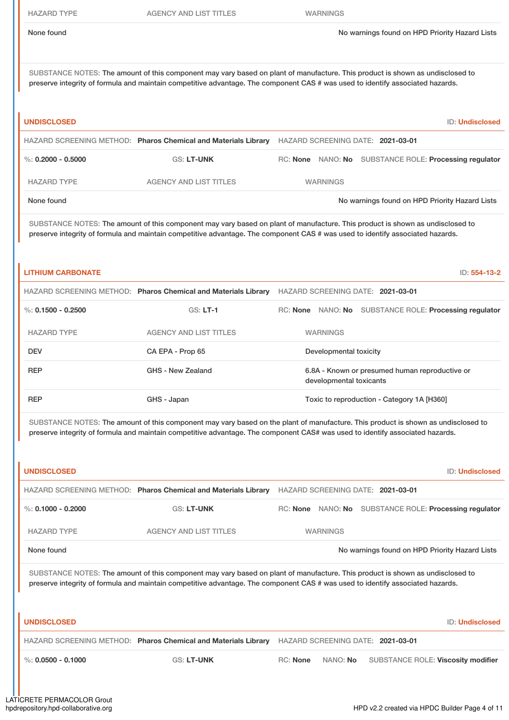SUBSTANCE NOTES: The amount of this component may vary based on plant of manufacture. This product is shown as undisclosed to preserve integrity of formula and maintain competitive advantage. The component CAS # was used to identify associated hazards.

| <b>UNDISCLOSED</b>   |                                                                |                 | <b>ID: Undisclosed</b>                                 |
|----------------------|----------------------------------------------------------------|-----------------|--------------------------------------------------------|
|                      | HAZARD SCREENING METHOD: Pharos Chemical and Materials Library |                 | HAZARD SCREENING DATE: 2021-03-01                      |
| %: $0.2000 - 0.5000$ | <b>GS: LT-UNK</b>                                              |                 | RC: None NANO: No SUBSTANCE ROLE: Processing regulator |
| <b>HAZARD TYPE</b>   | <b>AGENCY AND LIST TITLES</b>                                  | <b>WARNINGS</b> |                                                        |
| None found           |                                                                |                 | No warnings found on HPD Priority Hazard Lists         |

SUBSTANCE NOTES: The amount of this component may vary based on plant of manufacture. This product is shown as undisclosed to preserve integrity of formula and maintain competitive advantage. The component CAS # was used to identify associated hazards.

### **LITHIUM CARBONATE** ID: **554-13-2**

|                      | HAZARD SCREENING METHOD: Pharos Chemical and Materials Library | HAZARD SCREENING DATE: 2021-03-01                                         |  |  |  |  |
|----------------------|----------------------------------------------------------------|---------------------------------------------------------------------------|--|--|--|--|
| %: $0.1500 - 0.2500$ | $GS: LT-1$                                                     | RC: None NANO: No SUBSTANCE ROLE: Processing regulator                    |  |  |  |  |
| <b>HAZARD TYPE</b>   | <b>AGENCY AND LIST TITLES</b>                                  | <b>WARNINGS</b>                                                           |  |  |  |  |
| <b>DEV</b>           | CA EPA - Prop 65                                               | Developmental toxicity                                                    |  |  |  |  |
| <b>REP</b>           | GHS - New Zealand                                              | 6.8A - Known or presumed human reproductive or<br>developmental toxicants |  |  |  |  |
| <b>REP</b>           | GHS - Japan                                                    | Toxic to reproduction - Category 1A [H360]                                |  |  |  |  |

SUBSTANCE NOTES: The amount of this component may vary based on the plant of manufacture. This product is shown as undisclosed to preserve integrity of formula and maintain competitive advantage. The component CAS# was used to identify associated hazards.

| <b>UNDISCLOSED</b>   |                                                                                                                                                                                                                                                                 |                                   | <b>ID: Undisclosed</b>                         |
|----------------------|-----------------------------------------------------------------------------------------------------------------------------------------------------------------------------------------------------------------------------------------------------------------|-----------------------------------|------------------------------------------------|
|                      | HAZARD SCREENING METHOD: Pharos Chemical and Materials Library                                                                                                                                                                                                  | HAZARD SCREENING DATE: 2021-03-01 |                                                |
| %: $0.1000 - 0.2000$ | <b>GS: LT-UNK</b>                                                                                                                                                                                                                                               | RC: None                          | NANO: No SUBSTANCE ROLE: Processing regulator  |
| <b>HAZARD TYPE</b>   | <b>AGENCY AND LIST TITLES</b>                                                                                                                                                                                                                                   | <b>WARNINGS</b>                   |                                                |
| None found           |                                                                                                                                                                                                                                                                 |                                   | No warnings found on HPD Priority Hazard Lists |
|                      | SUBSTANCE NOTES: The amount of this component may vary based on plant of manufacture. This product is shown as undisclosed to<br>preserve integrity of formula and maintain competitive advantage. The component CAS # was used to identify associated hazards. |                                   |                                                |
| <b>UNDISCLOSED</b>   |                                                                                                                                                                                                                                                                 |                                   | <b>ID: Undisclosed</b>                         |
|                      | HAZARD SCREENING METHOD: Pharos Chemical and Materials Library                                                                                                                                                                                                  | HAZARD SCREENING DATE: 2021-03-01 |                                                |
| %: $0.0500 - 0.1000$ | <b>GS: LT-UNK</b>                                                                                                                                                                                                                                               | <b>RC:</b> None<br>NANO: No       | <b>SUBSTANCE ROLE: Viscosity modifier</b>      |
|                      |                                                                                                                                                                                                                                                                 |                                   |                                                |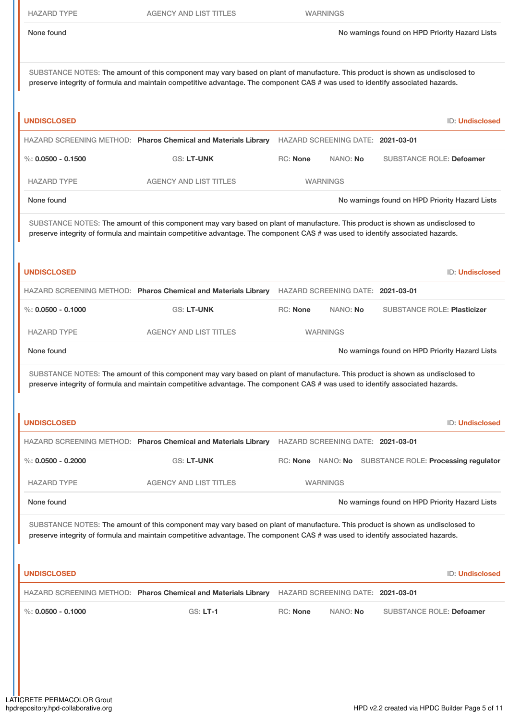| <b>HAZARD TYPE</b>   | <b>AGENCY AND LIST TITLES</b>                                                                                                                                                                                                                                   |                 | <b>WARNINGS</b>                   |  |                                                        |
|----------------------|-----------------------------------------------------------------------------------------------------------------------------------------------------------------------------------------------------------------------------------------------------------------|-----------------|-----------------------------------|--|--------------------------------------------------------|
| None found           |                                                                                                                                                                                                                                                                 |                 |                                   |  | No warnings found on HPD Priority Hazard Lists         |
|                      | SUBSTANCE NOTES: The amount of this component may vary based on plant of manufacture. This product is shown as undisclosed to<br>preserve integrity of formula and maintain competitive advantage. The component CAS # was used to identify associated hazards. |                 |                                   |  |                                                        |
| <b>UNDISCLOSED</b>   |                                                                                                                                                                                                                                                                 |                 |                                   |  | ID: Undisclosed                                        |
|                      | HAZARD SCREENING METHOD: Pharos Chemical and Materials Library                                                                                                                                                                                                  |                 | HAZARD SCREENING DATE: 2021-03-01 |  |                                                        |
| %: $0.0500 - 0.1500$ | GS: LT-UNK                                                                                                                                                                                                                                                      | <b>RC: None</b> | NANO: No                          |  | <b>SUBSTANCE ROLE: Defoamer</b>                        |
| <b>HAZARD TYPE</b>   | <b>AGENCY AND LIST TITLES</b>                                                                                                                                                                                                                                   |                 | <b>WARNINGS</b>                   |  |                                                        |
| None found           |                                                                                                                                                                                                                                                                 |                 |                                   |  | No warnings found on HPD Priority Hazard Lists         |
|                      | SUBSTANCE NOTES: The amount of this component may vary based on plant of manufacture. This product is shown as undisclosed to<br>preserve integrity of formula and maintain competitive advantage. The component CAS # was used to identify associated hazards. |                 |                                   |  |                                                        |
| UNDISCLOSED          |                                                                                                                                                                                                                                                                 |                 |                                   |  | ID: Undisclosed                                        |
|                      | HAZARD SCREENING METHOD: Pharos Chemical and Materials Library HAZARD SCREENING DATE: 2021-03-01                                                                                                                                                                |                 |                                   |  |                                                        |
| %: $0.0500 - 0.1000$ | GS: LT-UNK                                                                                                                                                                                                                                                      | <b>RC: None</b> | NANO: No                          |  | <b>SUBSTANCE ROLE: Plasticizer</b>                     |
| <b>HAZARD TYPE</b>   | <b>AGENCY AND LIST TITLES</b>                                                                                                                                                                                                                                   |                 | <b>WARNINGS</b>                   |  |                                                        |
| None found           |                                                                                                                                                                                                                                                                 |                 |                                   |  | No warnings found on HPD Priority Hazard Lists         |
|                      | SUBSTANCE NOTES: The amount of this component may vary based on plant of manufacture. This product is shown as undisclosed to<br>preserve integrity of formula and maintain competitive advantage. The component CAS # was used to identify associated hazards. |                 |                                   |  |                                                        |
| UNDISCLOSED          |                                                                                                                                                                                                                                                                 |                 |                                   |  | <b>ID: Undisclosed</b>                                 |
|                      | HAZARD SCREENING METHOD: Pharos Chemical and Materials Library HAZARD SCREENING DATE: 2021-03-01                                                                                                                                                                |                 |                                   |  |                                                        |
| %: $0.0500 - 0.2000$ | GS: LT-UNK                                                                                                                                                                                                                                                      |                 |                                   |  | RC: None NANO: No SUBSTANCE ROLE: Processing regulator |
| <b>HAZARD TYPE</b>   | <b>AGENCY AND LIST TITLES</b>                                                                                                                                                                                                                                   |                 | <b>WARNINGS</b>                   |  |                                                        |
| None found           |                                                                                                                                                                                                                                                                 |                 |                                   |  | No warnings found on HPD Priority Hazard Lists         |
|                      | SUBSTANCE NOTES: The amount of this component may vary based on plant of manufacture. This product is shown as undisclosed to<br>preserve integrity of formula and maintain competitive advantage. The component CAS # was used to identify associated hazards. |                 |                                   |  |                                                        |
| UNDISCLOSED          |                                                                                                                                                                                                                                                                 |                 |                                   |  | ID: Undisclosed                                        |
|                      | HAZARD SCREENING METHOD: Pharos Chemical and Materials Library HAZARD SCREENING DATE: 2021-03-01                                                                                                                                                                |                 |                                   |  |                                                        |
| %: $0.0500 - 0.1000$ | <b>GS: LT-1</b>                                                                                                                                                                                                                                                 | <b>RC: None</b> | NANO: No                          |  | <b>SUBSTANCE ROLE: Defoamer</b>                        |
|                      |                                                                                                                                                                                                                                                                 |                 |                                   |  |                                                        |
|                      |                                                                                                                                                                                                                                                                 |                 |                                   |  |                                                        |
|                      |                                                                                                                                                                                                                                                                 |                 |                                   |  |                                                        |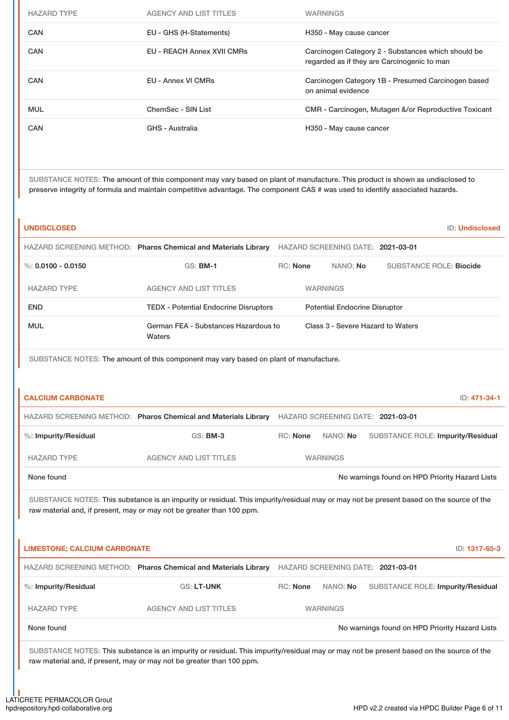| <b>HAZARD TYPE</b> | AGENCY AND LIST TITLES     | <b>WARNINGS</b>                                                                                   |
|--------------------|----------------------------|---------------------------------------------------------------------------------------------------|
| CAN                | EU - GHS (H-Statements)    | H350 - May cause cancer                                                                           |
| CAN                | EU - REACH Annex XVII CMRs | Carcinogen Category 2 - Substances which should be<br>regarded as if they are Carcinogenic to man |
| CAN                | EU - Annex VI CMRs         | Carcinogen Category 1B - Presumed Carcinogen based<br>on animal evidence                          |
| <b>MUL</b>         | ChemSec - SIN List         | CMR - Carcinogen, Mutagen &/or Reproductive Toxicant                                              |
| CAN                | <b>GHS - Australia</b>     | H350 - May cause cancer                                                                           |
|                    |                            |                                                                                                   |

SUBSTANCE NOTES: The amount of this component may vary based on plant of manufacture. This product is shown as undisclosed to preserve integrity of formula and maintain competitive advantage. The component CAS # was used to identify associated hazards.

| <b>UNDISCLOSED</b>       |                                                                                                                                                                                                                  |                 |                                      |                                                | <b>ID: Undisclosed</b> |
|--------------------------|------------------------------------------------------------------------------------------------------------------------------------------------------------------------------------------------------------------|-----------------|--------------------------------------|------------------------------------------------|------------------------|
|                          | HAZARD SCREENING METHOD: Pharos Chemical and Materials Library                                                                                                                                                   |                 | HAZARD SCREENING DATE: 2021-03-01    |                                                |                        |
| %: $0.0100 - 0.0150$     | <b>GS: BM-1</b>                                                                                                                                                                                                  | <b>RC:</b> None | NANO: No                             | <b>SUBSTANCE ROLE: Biocide</b>                 |                        |
| <b>HAZARD TYPE</b>       | <b>AGENCY AND LIST TITLES</b>                                                                                                                                                                                    |                 | <b>WARNINGS</b>                      |                                                |                        |
| <b>END</b>               | <b>TEDX - Potential Endocrine Disruptors</b>                                                                                                                                                                     |                 | <b>Potential Endocrine Disruptor</b> |                                                |                        |
| <b>MUL</b>               | German FEA - Substances Hazardous to<br>Waters                                                                                                                                                                   |                 |                                      | Class 3 - Severe Hazard to Waters              |                        |
|                          | SUBSTANCE NOTES: The amount of this component may vary based on plant of manufacture.                                                                                                                            |                 |                                      |                                                |                        |
|                          |                                                                                                                                                                                                                  |                 |                                      |                                                |                        |
| <b>CALCIUM CARBONATE</b> |                                                                                                                                                                                                                  |                 |                                      |                                                | ID: 471-34-1           |
|                          | HAZARD SCREENING METHOD: Pharos Chemical and Materials Library                                                                                                                                                   |                 | HAZARD SCREENING DATE: 2021-03-01    |                                                |                        |
| %: Impurity/Residual     | <b>GS: BM-3</b>                                                                                                                                                                                                  | RC: None        | NANO: No                             | <b>SUBSTANCE ROLE: Impurity/Residual</b>       |                        |
| <b>HAZARD TYPE</b>       | <b>AGENCY AND LIST TITLES</b>                                                                                                                                                                                    |                 | <b>WARNINGS</b>                      |                                                |                        |
| None found               |                                                                                                                                                                                                                  |                 |                                      | No warnings found on HPD Priority Hazard Lists |                        |
|                          | SUBSTANCE NOTES: This substance is an impurity or residual. This impurity/residual may or may not be present based on the source of the<br>raw material and, if present, may or may not be greater than 100 ppm. |                 |                                      |                                                |                        |

| <b>LIMESTONE: CALCIUM CARBONATE</b> |                                                                |                 |                 | ID: 1317-65-3                                  |
|-------------------------------------|----------------------------------------------------------------|-----------------|-----------------|------------------------------------------------|
|                                     | HAZARD SCREENING METHOD: Pharos Chemical and Materials Library |                 |                 | HAZARD SCREENING DATE: 2021-03-01              |
| %: Impurity/Residual                | <b>GS: LT-UNK</b>                                              | <b>RC:</b> None | NANO: No        | <b>SUBSTANCE ROLE: Impurity/Residual</b>       |
| <b>HAZARD TYPE</b>                  | <b>AGENCY AND LIST TITLES</b>                                  |                 | <b>WARNINGS</b> |                                                |
| None found                          |                                                                |                 |                 | No warnings found on HPD Priority Hazard Lists |

SUBSTANCE NOTES: This substance is an impurity or residual. This impurity/residual may or may not be present based on the source of the raw material and, if present, may or may not be greater than 100 ppm.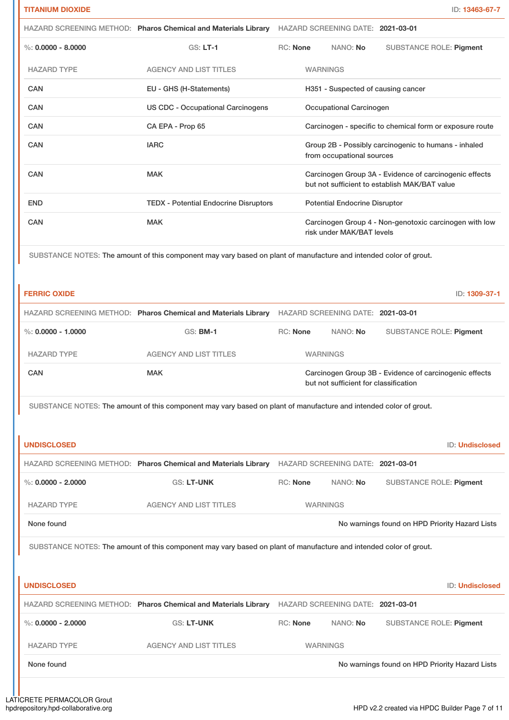|                      | HAZARD SCREENING METHOD: Pharos Chemical and Materials Library HAZARD SCREENING DATE: 2021-03-01                  |                                                                                                         |                                                                                   |  |                                                        |  |
|----------------------|-------------------------------------------------------------------------------------------------------------------|---------------------------------------------------------------------------------------------------------|-----------------------------------------------------------------------------------|--|--------------------------------------------------------|--|
| %: $0.0000 - 8.0000$ | GS: LT-1                                                                                                          | RC: None                                                                                                | NANO: No                                                                          |  | <b>SUBSTANCE ROLE: Pigment</b>                         |  |
| <b>HAZARD TYPE</b>   | <b>AGENCY AND LIST TITLES</b>                                                                                     |                                                                                                         | <b>WARNINGS</b>                                                                   |  |                                                        |  |
| <b>CAN</b>           | EU - GHS (H-Statements)                                                                                           |                                                                                                         | H351 - Suspected of causing cancer                                                |  |                                                        |  |
| CAN                  | <b>US CDC - Occupational Carcinogens</b>                                                                          |                                                                                                         | Occupational Carcinogen                                                           |  |                                                        |  |
| CAN                  | CA EPA - Prop 65                                                                                                  |                                                                                                         | Carcinogen - specific to chemical form or exposure route                          |  |                                                        |  |
| CAN                  | <b>IARC</b>                                                                                                       |                                                                                                         | Group 2B - Possibly carcinogenic to humans - inhaled<br>from occupational sources |  |                                                        |  |
| CAN                  | <b>MAK</b>                                                                                                        | Carcinogen Group 3A - Evidence of carcinogenic effects<br>but not sufficient to establish MAK/BAT value |                                                                                   |  |                                                        |  |
| <b>END</b>           | <b>TEDX - Potential Endocrine Disruptors</b>                                                                      |                                                                                                         | <b>Potential Endocrine Disruptor</b>                                              |  |                                                        |  |
| CAN                  | <b>MAK</b>                                                                                                        |                                                                                                         | risk under MAK/BAT levels                                                         |  | Carcinogen Group 4 - Non-genotoxic carcinogen with low |  |
|                      | SUBSTANCE NOTES: The amount of this component may vary based on plant of manufacture and intended color of grout. |                                                                                                         |                                                                                   |  |                                                        |  |
| <b>FERRIC OXIDE</b>  |                                                                                                                   |                                                                                                         |                                                                                   |  | ID: 1309-37-1                                          |  |
|                      | HAZARD SCREENING METHOD: Pharos Chemical and Materials Library HAZARD SCREENING DATE: 2021-03-01                  |                                                                                                         |                                                                                   |  |                                                        |  |
| %: $0.0000 - 1.0000$ | <b>GS: BM-1</b>                                                                                                   | RC: None                                                                                                | NANO: No                                                                          |  | <b>SUBSTANCE ROLE: Pigment</b>                         |  |
| <b>HAZARD TYPE</b>   | <b>AGENCY AND LIST TITLES</b>                                                                                     |                                                                                                         | <b>WARNINGS</b>                                                                   |  |                                                        |  |
| CAN                  | <b>MAK</b>                                                                                                        | Carcinogen Group 3B - Evidence of carcinogenic effects<br>but not sufficient for classification         |                                                                                   |  |                                                        |  |
|                      | SUBSTANCE NOTES: The amount of this component may vary based on plant of manufacture and intended color of grout. |                                                                                                         |                                                                                   |  |                                                        |  |
| <b>UNDISCLOSED</b>   |                                                                                                                   |                                                                                                         |                                                                                   |  | <b>ID: Undisclosed</b>                                 |  |

|                      | HAZARD SCREENING METHOD: Pharos Chemical and Materials Library HAZARD SCREENING DATE: 2021-03-01 |                 |          |                         |  |
|----------------------|--------------------------------------------------------------------------------------------------|-----------------|----------|-------------------------|--|
| %: $0.0000 - 2.0000$ | <b>GS: LT-UNK</b>                                                                                | RC: None        | NANO: No | SUBSTANCE ROLE: Piament |  |
| HAZARD TYPE          | AGENCY AND LIST TITLES                                                                           | <b>WARNINGS</b> |          |                         |  |

# None found Now arrings found on HPD Priority Hazard Lists

SUBSTANCE NOTES: The amount of this component may vary based on plant of manufacture and intended color of grout.

| <b>UNDISCLOSED</b>   |                                                                |                                   |          | ID: Undisclosed                                |
|----------------------|----------------------------------------------------------------|-----------------------------------|----------|------------------------------------------------|
|                      | HAZARD SCREENING METHOD: Pharos Chemical and Materials Library | HAZARD SCREENING DATE: 2021-03-01 |          |                                                |
| %: $0.0000 - 2.0000$ | <b>GS: LT-UNK</b>                                              | RC: None                          | NANO: No | <b>SUBSTANCE ROLE: Pigment</b>                 |
| <b>HAZARD TYPE</b>   | <b>AGENCY AND LIST TITLES</b>                                  | <b>WARNINGS</b>                   |          |                                                |
| None found           |                                                                |                                   |          | No warnings found on HPD Priority Hazard Lists |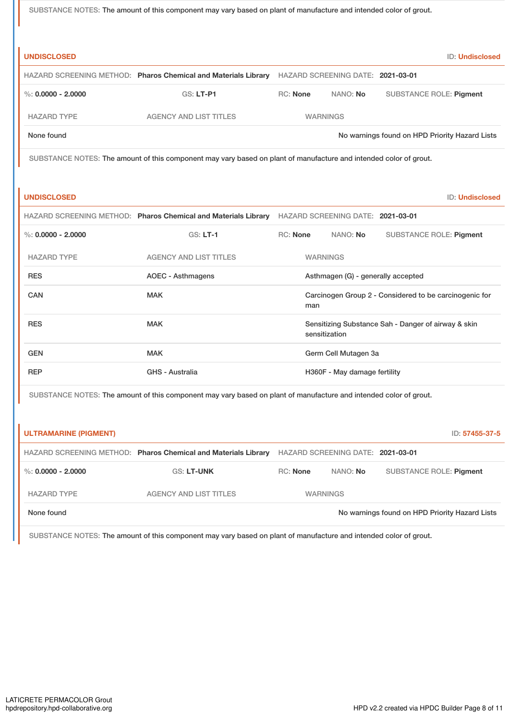SUBSTANCE NOTES: The amount of this component may vary based on plant of manufacture and intended color of grout.

| <b>UNDISCLOSED</b>           |                                                                                                                   |                                                                      |                                   |                                                | <b>ID: Undisclosed</b> |
|------------------------------|-------------------------------------------------------------------------------------------------------------------|----------------------------------------------------------------------|-----------------------------------|------------------------------------------------|------------------------|
|                              | HAZARD SCREENING METHOD: Pharos Chemical and Materials Library                                                    |                                                                      | HAZARD SCREENING DATE: 2021-03-01 |                                                |                        |
| %: $0.0000 - 2.0000$         | <b>GS: LT-P1</b>                                                                                                  | <b>RC: None</b>                                                      | NANO: No                          | <b>SUBSTANCE ROLE: Pigment</b>                 |                        |
| <b>HAZARD TYPE</b>           | <b>AGENCY AND LIST TITLES</b>                                                                                     |                                                                      | <b>WARNINGS</b>                   |                                                |                        |
| None found                   |                                                                                                                   |                                                                      |                                   | No warnings found on HPD Priority Hazard Lists |                        |
|                              | SUBSTANCE NOTES: The amount of this component may vary based on plant of manufacture and intended color of grout. |                                                                      |                                   |                                                |                        |
| <b>UNDISCLOSED</b>           |                                                                                                                   |                                                                      |                                   |                                                | ID: Undisclosed        |
|                              | HAZARD SCREENING METHOD: Pharos Chemical and Materials Library HAZARD SCREENING DATE: 2021-03-01                  |                                                                      |                                   |                                                |                        |
| $\%$ : 0.0000 - 2.0000       | $GS: LT-1$                                                                                                        | RC: None                                                             | NANO: No                          | <b>SUBSTANCE ROLE: Pigment</b>                 |                        |
| <b>HAZARD TYPE</b>           | <b>AGENCY AND LIST TITLES</b>                                                                                     |                                                                      | <b>WARNINGS</b>                   |                                                |                        |
| <b>RES</b>                   | <b>AOEC - Asthmagens</b>                                                                                          | Asthmagen (G) - generally accepted                                   |                                   |                                                |                        |
| CAN                          | <b>MAK</b>                                                                                                        | Carcinogen Group 2 - Considered to be carcinogenic for<br>man        |                                   |                                                |                        |
| <b>RES</b>                   | <b>MAK</b>                                                                                                        | Sensitizing Substance Sah - Danger of airway & skin<br>sensitization |                                   |                                                |                        |
| <b>GEN</b>                   | <b>MAK</b>                                                                                                        | Germ Cell Mutagen 3a                                                 |                                   |                                                |                        |
| <b>REP</b>                   | <b>GHS - Australia</b>                                                                                            |                                                                      | H360F - May damage fertility      |                                                |                        |
|                              | SUBSTANCE NOTES: The amount of this component may vary based on plant of manufacture and intended color of grout. |                                                                      |                                   |                                                |                        |
|                              |                                                                                                                   |                                                                      |                                   |                                                |                        |
| <b>ULTRAMARINE (PIGMENT)</b> |                                                                                                                   |                                                                      |                                   |                                                | ID: 57455-37-5         |
|                              | HAZARD SCREENING METHOD: Pharos Chemical and Materials Library                                                    |                                                                      | HAZARD SCREENING DATE: 2021-03-01 |                                                |                        |
| %: $0.0000 - 2.0000$         | <b>GS: LT-UNK</b>                                                                                                 | RC: None                                                             | NANO: No                          | <b>SUBSTANCE ROLE: Pigment</b>                 |                        |
| <b>HAZARD TYPE</b>           | <b>AGENCY AND LIST TITLES</b>                                                                                     | <b>WARNINGS</b>                                                      |                                   |                                                |                        |
| None found                   |                                                                                                                   |                                                                      |                                   | No warnings found on HPD Priority Hazard Lists |                        |

SUBSTANCE NOTES: The amount of this component may vary based on plant of manufacture and intended color of grout.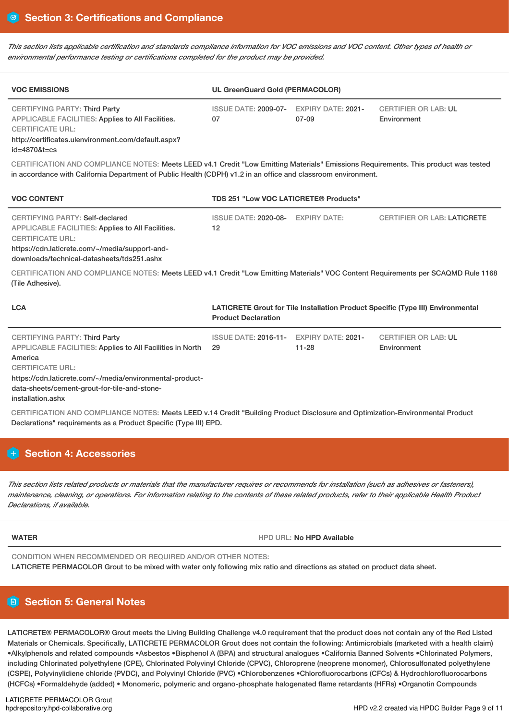This section lists applicable certification and standards compliance information for VOC emissions and VOC content. Other types of health or *environmental performance testing or certifications completed for the product may be provided.*

| <b>VOC EMISSIONS</b>                                                                                                                                                        | UL GreenGuard Gold (PERMACOLOR)               |       |                                            |  |
|-----------------------------------------------------------------------------------------------------------------------------------------------------------------------------|-----------------------------------------------|-------|--------------------------------------------|--|
| CERTIFYING PARTY: Third Party<br><b>APPLICABLE FACILITIES: Applies to All Facilities.</b><br><b>CERTIFICATE URL:</b><br>http://certificates.ulenvironment.com/default.aspx? | ISSUE DATE: 2009-07- EXPIRY DATE: 2021-<br>07 | 07-09 | <b>CERTIFIER OR LAB: UL</b><br>Environment |  |

id=4870&t=cs

CERTIFICATION AND COMPLIANCE NOTES: Meets LEED v4.1 Credit "Low Emitting Materials" Emissions Requirements. This product was tested in accordance with California Department of Public Health (CDPH) v1.2 in an office and classroom environment.

| <b>VOC CONTENT</b>                                                                                                                                                                                              | TDS 251 "Low VOC LATICRETE® Products"   |  |                                    |
|-----------------------------------------------------------------------------------------------------------------------------------------------------------------------------------------------------------------|-----------------------------------------|--|------------------------------------|
| CERTIFYING PARTY: Self-declared<br>APPLICABLE FACILITIES: Applies to All Facilities.<br><b>CERTIFICATE URL:</b><br>https://cdn.laticrete.com/~/media/support-and-<br>downloads/technical-datasheets/tds251.ashx | ISSUE DATE: 2020-08- EXPIRY DATE:<br>12 |  | <b>CERTIFIER OR LAB: LATICRETE</b> |

CERTIFICATION AND COMPLIANCE NOTES: Meets LEED v4.1 Credit "Low Emitting Materials" VOC Content Requirements per SCAQMD Rule 1168 (Tile Adhesive).

| <b>LCA</b>                                                                                                                                                                                                                                                        | <b>LATICRETE Grout for Tile Installation Product Specific (Type III) Environmental</b><br><b>Product Declaration</b> |           |                                            |  |
|-------------------------------------------------------------------------------------------------------------------------------------------------------------------------------------------------------------------------------------------------------------------|----------------------------------------------------------------------------------------------------------------------|-----------|--------------------------------------------|--|
| CERTIFYING PARTY: Third Party<br>APPLICABLE FACILITIES: Applies to All Facilities in North<br>America<br><b>CERTIFICATE URL:</b><br>https://cdn.laticrete.com/~/media/environmental-product-<br>data-sheets/cement-grout-for-tile-and-stone-<br>installation.ashx | ISSUE DATE: 2016-11- EXPIRY DATE: 2021-<br>-29                                                                       | $11 - 28$ | <b>CERTIFIER OR LAB: UL</b><br>Environment |  |
| CERTIFICATION AND COMPLIANCE NOTES: Meets LEED y 14 Credit "Building Product Disclosure and Ontimization-Environmental Product                                                                                                                                    |                                                                                                                      |           |                                            |  |

CERTIFICATION AND COMPLIANCE NOTES: Meets LEED v.14 Credit "Building Product Disclosure and Optimization-Environmental Product Declarations" requirements as a Product Specific (Type III) EPD.

# **Section 4: Accessories**

This section lists related products or materials that the manufacturer requires or recommends for installation (such as adhesives or fasteners), maintenance, cleaning, or operations. For information relating to the contents of these related products, refer to their applicable Health Product *Declarations, if available.*

**WATER WATER HPD** URL: No **HPD** Available

CONDITION WHEN RECOMMENDED OR REQUIRED AND/OR OTHER NOTES:

LATICRETE PERMACOLOR Grout to be mixed with water only following mix ratio and directions as stated on product data sheet.

# **Section 5: General Notes**

LATICRETE® PERMACOLOR® Grout meets the Living Building Challenge v4.0 requirement that the product does not contain any of the Red Listed Materials or Chemicals. Specifically, LATICRETE PERMACOLOR Grout does not contain the following: Antimicrobials (marketed with a health claim) •Alkylphenols and related compounds •Asbestos •Bisphenol A (BPA) and structural analogues •California Banned Solvents •Chlorinated Polymers, including Chlorinated polyethylene (CPE), Chlorinated Polyvinyl Chloride (CPVC), Chloroprene (neoprene monomer), Chlorosulfonated polyethylene (CSPE), Polyvinylidiene chloride (PVDC), and Polyvinyl Chloride (PVC) •Chlorobenzenes •Chlorofluorocarbons (CFCs) & Hydrochlorofluorocarbons (HCFCs) •Formaldehyde (added) • Monomeric, polymeric and organo-phosphate halogenated flame retardants (HFRs) •Organotin Compounds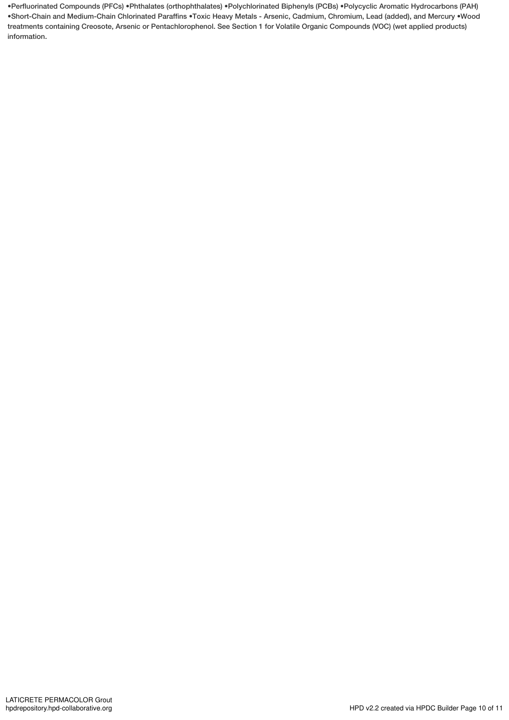•Perfluorinated Compounds (PFCs) •Phthalates (orthophthalates) •Polychlorinated Biphenyls (PCBs) •Polycyclic Aromatic Hydrocarbons (PAH) •Short-Chain and Medium-Chain Chlorinated Paraffins •Toxic Heavy Metals - Arsenic, Cadmium, Chromium, Lead (added), and Mercury •Wood treatments containing Creosote, Arsenic or Pentachlorophenol. See Section 1 for Volatile Organic Compounds (VOC) (wet applied products) information.